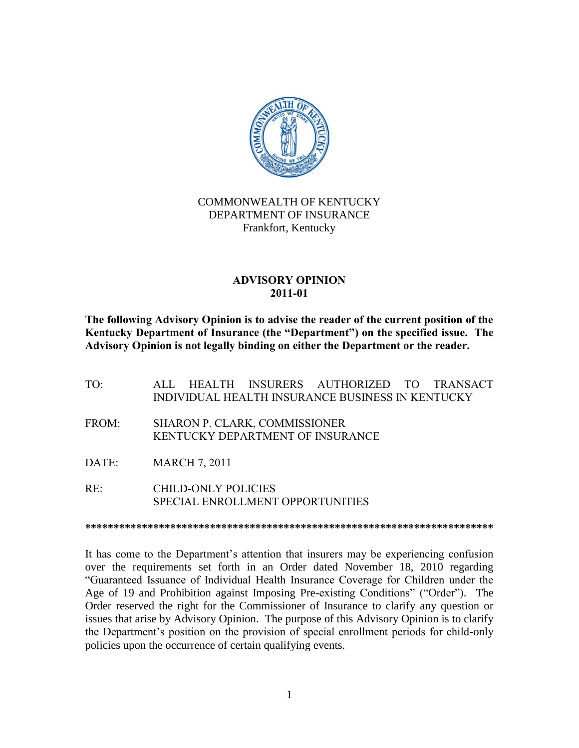

## COMMONWEALTH OF KENTUCKY DEPARTMENT OF INSURANCE Frankfort, Kentucky

## **ADVISORY OPINION 2011-01**

**The following Advisory Opinion is to advise the reader of the current position of the Kentucky Department of Insurance (the "Department") on the specified issue. The Advisory Opinion is not legally binding on either the Department or the reader.**

- TO: ALL HEALTH INSURERS AUTHORIZED TO TRANSACT INDIVIDUAL HEALTH INSURANCE BUSINESS IN KENTUCKY
- FROM: SHARON P. CLARK, COMMISSIONER KENTUCKY DEPARTMENT OF INSURANCE
- DATE: MARCH 7, 2011
- RE: CHILD-ONLY POLICIES SPECIAL ENROLLMENT OPPORTUNITIES

**\*\*\*\*\*\*\*\*\*\*\*\*\*\*\*\*\*\*\*\*\*\*\*\*\*\*\*\*\*\*\*\*\*\*\*\*\*\*\*\*\*\*\*\*\*\*\*\*\*\*\*\*\*\*\*\*\*\*\*\*\*\*\*\*\*\*\*\*\*\*\*\***

It has come to the Department's attention that insurers may be experiencing confusion over the requirements set forth in an Order dated November 18, 2010 regarding "Guaranteed Issuance of Individual Health Insurance Coverage for Children under the Age of 19 and Prohibition against Imposing Pre-existing Conditions" ("Order"). The Order reserved the right for the Commissioner of Insurance to clarify any question or issues that arise by Advisory Opinion. The purpose of this Advisory Opinion is to clarify the Department's position on the provision of special enrollment periods for child-only policies upon the occurrence of certain qualifying events.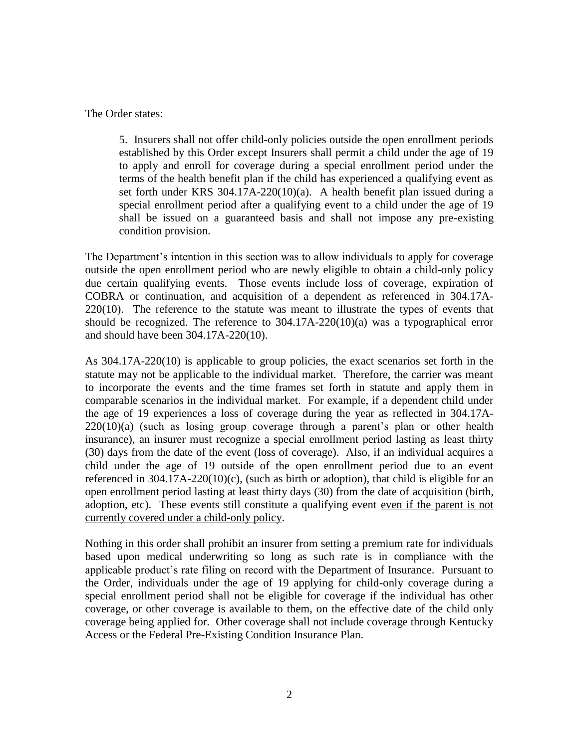The Order states:

5. Insurers shall not offer child-only policies outside the open enrollment periods established by this Order except Insurers shall permit a child under the age of 19 to apply and enroll for coverage during a special enrollment period under the terms of the health benefit plan if the child has experienced a qualifying event as set forth under KRS 304.17A-220(10)(a). A health benefit plan issued during a special enrollment period after a qualifying event to a child under the age of 19 shall be issued on a guaranteed basis and shall not impose any pre-existing condition provision.

The Department's intention in this section was to allow individuals to apply for coverage outside the open enrollment period who are newly eligible to obtain a child-only policy due certain qualifying events. Those events include loss of coverage, expiration of COBRA or continuation, and acquisition of a dependent as referenced in 304.17A-220(10). The reference to the statute was meant to illustrate the types of events that should be recognized. The reference to 304.17A-220(10)(a) was a typographical error and should have been 304.17A-220(10).

As 304.17A-220(10) is applicable to group policies, the exact scenarios set forth in the statute may not be applicable to the individual market. Therefore, the carrier was meant to incorporate the events and the time frames set forth in statute and apply them in comparable scenarios in the individual market. For example, if a dependent child under the age of 19 experiences a loss of coverage during the year as reflected in 304.17A-220(10)(a) (such as losing group coverage through a parent's plan or other health insurance), an insurer must recognize a special enrollment period lasting as least thirty (30) days from the date of the event (loss of coverage). Also, if an individual acquires a child under the age of 19 outside of the open enrollment period due to an event referenced in  $304.17A-220(10)(c)$ , (such as birth or adoption), that child is eligible for an open enrollment period lasting at least thirty days (30) from the date of acquisition (birth, adoption, etc). These events still constitute a qualifying event even if the parent is not currently covered under a child-only policy.

Nothing in this order shall prohibit an insurer from setting a premium rate for individuals based upon medical underwriting so long as such rate is in compliance with the applicable product's rate filing on record with the Department of Insurance. Pursuant to the Order, individuals under the age of 19 applying for child-only coverage during a special enrollment period shall not be eligible for coverage if the individual has other coverage, or other coverage is available to them, on the effective date of the child only coverage being applied for. Other coverage shall not include coverage through Kentucky Access or the Federal Pre-Existing Condition Insurance Plan.